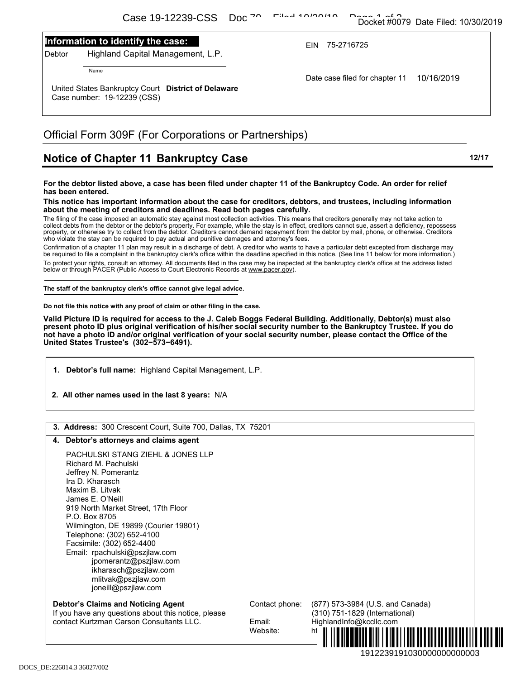### **Information to identify the case:**

## Official Form 309F (For Corporations or Partnerships)

# **Notice of Chapter 11 Bankruptcy Case 12017** 12/17

#### **For the debtor listed above, a case has been filed under chapter 11 of the Bankruptcy Code. An order for relief has been entered.**

#### **This notice has important information about the case for creditors, debtors, and trustees, including information about the meeting of creditors and deadlines. Read both pages carefully.**

- **1. Debtor's full name:** Highland Capital Management, L.P.
- **2. All other names used in the last 8 years:** N/A

|        | Casa Taircoaichd<br><b>DU</b>                                                                                                                                                                                               |                    |                                                                                                                                                                                                                                                                                                                  |       |
|--------|-----------------------------------------------------------------------------------------------------------------------------------------------------------------------------------------------------------------------------|--------------------|------------------------------------------------------------------------------------------------------------------------------------------------------------------------------------------------------------------------------------------------------------------------------------------------------------------|-------|
|        | Information to identify the case:                                                                                                                                                                                           |                    | EIN 75-2716725                                                                                                                                                                                                                                                                                                   |       |
| Debtor | Highland Capital Management, L.P.                                                                                                                                                                                           |                    |                                                                                                                                                                                                                                                                                                                  |       |
|        | Name                                                                                                                                                                                                                        |                    |                                                                                                                                                                                                                                                                                                                  |       |
|        | United States Bankruptcy Court District of Delaware                                                                                                                                                                         |                    | Date case filed for chapter 11<br>10/16/2019                                                                                                                                                                                                                                                                     |       |
|        | Case number: 19-12239 (CSS)                                                                                                                                                                                                 |                    |                                                                                                                                                                                                                                                                                                                  |       |
|        | Official Form 309F (For Corporations or Partnerships)                                                                                                                                                                       |                    |                                                                                                                                                                                                                                                                                                                  |       |
|        | Notice of Chapter 11 Bankruptcy Case                                                                                                                                                                                        |                    |                                                                                                                                                                                                                                                                                                                  | 12/17 |
|        | For the debtor listed above, a case has been filed under chapter 11 of the Bankruptcy Code. An order for relief                                                                                                             |                    |                                                                                                                                                                                                                                                                                                                  |       |
|        | has been entered.                                                                                                                                                                                                           |                    | This notice has important information about the case for creditors, debtors, and trustees, including information                                                                                                                                                                                                 |       |
|        | about the meeting of creditors and deadlines. Read both pages carefully.<br>The filing of the case imposed an automatic stay against most collection activities. This means that creditors generally may not take action to |                    |                                                                                                                                                                                                                                                                                                                  |       |
|        |                                                                                                                                                                                                                             |                    | collect debts from the debtor or the debtor's property. For example, while the stay is in effect, creditors cannot sue, assert a deficiency, repossess<br>property, or otherwise try to collect from the debtor. Creditors cannot demand repayment from the debtor by mail, phone, or otherwise. Creditors       |       |
|        | who violate the stay can be required to pay actual and punitive damages and attorney's fees.                                                                                                                                |                    | Confirmation of a chapter 11 plan may result in a discharge of debt. A creditor who wants to have a particular debt excepted from discharge may                                                                                                                                                                  |       |
|        |                                                                                                                                                                                                                             |                    | be required to file a complaint in the bankruptcy clerk's office within the deadline specified in this notice. (See line 11 below for more information.)<br>To protect your rights, consult an attorney. All documents filed in the case may be inspected at the bankruptcy clerk's office at the address listed |       |
|        | below or through PACER (Public Access to Court Electronic Records at www.pacer.gov).                                                                                                                                        |                    |                                                                                                                                                                                                                                                                                                                  |       |
|        | The staff of the bankruptcy clerk's office cannot give legal advice.                                                                                                                                                        |                    |                                                                                                                                                                                                                                                                                                                  |       |
|        |                                                                                                                                                                                                                             |                    |                                                                                                                                                                                                                                                                                                                  |       |
|        | Do not file this notice with any proof of claim or other filing in the case.<br>not have a photo ID and/or original verification of your social security number, please contact the Office of the                           |                    | Valid Picture ID is required for access to the J. Caleb Boggs Federal Building. Additionally, Debtor(s) must also<br>present photo ID plus original verification of his/her social security number to the Bankruptcy Trustee. If you do                                                                          |       |
|        | United States Trustee's (302-573-6491).<br>1. Debtor's full name: Highland Capital Management, L.P.<br>2. All other names used in the last 8 years: N/A                                                                     |                    |                                                                                                                                                                                                                                                                                                                  |       |
|        |                                                                                                                                                                                                                             |                    |                                                                                                                                                                                                                                                                                                                  |       |
|        | 3. Address: 300 Crescent Court, Suite 700, Dallas, TX 75201                                                                                                                                                                 |                    |                                                                                                                                                                                                                                                                                                                  |       |
|        | 4. Debtor's attorneys and claims agent                                                                                                                                                                                      |                    |                                                                                                                                                                                                                                                                                                                  |       |
|        | <b>PACHULSKI STANG ZIEHL &amp; JONES LLP</b><br>Richard M. Pachulski                                                                                                                                                        |                    |                                                                                                                                                                                                                                                                                                                  |       |
|        | Jeffrey N. Pomerantz                                                                                                                                                                                                        |                    |                                                                                                                                                                                                                                                                                                                  |       |
|        | Ira D. Kharasch<br>Maxim B. Litvak                                                                                                                                                                                          |                    |                                                                                                                                                                                                                                                                                                                  |       |
|        | James E. O'Neill                                                                                                                                                                                                            |                    |                                                                                                                                                                                                                                                                                                                  |       |
|        | 919 North Market Street, 17th Floor<br>P.O. Box 8705                                                                                                                                                                        |                    |                                                                                                                                                                                                                                                                                                                  |       |
|        | Wilmington, DE 19899 (Courier 19801)                                                                                                                                                                                        |                    |                                                                                                                                                                                                                                                                                                                  |       |
|        | Telephone: (302) 652-4100<br>Facsimile: (302) 652-4400                                                                                                                                                                      |                    |                                                                                                                                                                                                                                                                                                                  |       |
|        | Email: rpachulski@pszjlaw.com                                                                                                                                                                                               |                    |                                                                                                                                                                                                                                                                                                                  |       |
|        | jpomerantz@pszjlaw.com<br>ikharasch@pszjlaw.com                                                                                                                                                                             |                    |                                                                                                                                                                                                                                                                                                                  |       |
|        | mlitvak@pszjlaw.com                                                                                                                                                                                                         |                    |                                                                                                                                                                                                                                                                                                                  |       |
|        | joneill@pszjlaw.com                                                                                                                                                                                                         |                    |                                                                                                                                                                                                                                                                                                                  |       |
|        | <b>Debtor's Claims and Noticing Agent</b><br>If you have any questions about this notice, please                                                                                                                            | Contact phone:     | (877) 573-3984 (U.S. and Canada)<br>(310) 751-1829 (International)                                                                                                                                                                                                                                               |       |
|        | contact Kurtzman Carson Consultants LLC.                                                                                                                                                                                    | Email:<br>Website: | HighlandInfo@kccllc.com<br>ht                                                                                                                                                                                                                                                                                    |       |